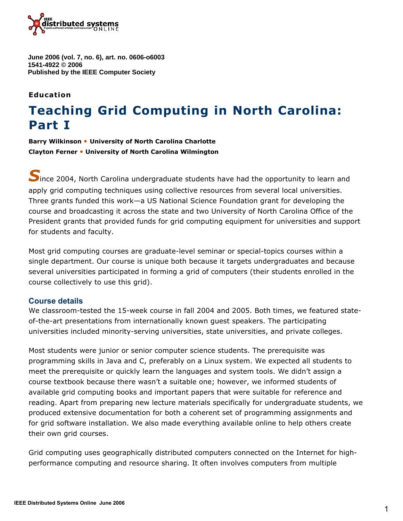

**June 2006 (vol. 7, no. 6), art. no. 0606-o6003 1541-4922 © 2006 Published by the IEEE Computer Society** 

### **Education**

## **Teaching Grid Computing in North Carolina: Part I**

**Barry Wilkinson** • **University of North Carolina Charlotte Clayton Ferner** • **University of North Carolina Wilmington**

Since 2004, North Carolina undergraduate students have had the opportunity to learn and apply grid computing techniques using collective resources from several local universities. Three grants funded this work—a US National Science Foundation grant for developing the course and broadcasting it across the state and two University of North Carolina Office of the President grants that provided funds for grid computing equipment for universities and support for students and faculty.

Most grid computing courses are graduate-level seminar or special-topics courses within a single department. Our course is unique both because it targets undergraduates and because several universities participated in forming a grid of computers (their students enrolled in the course collectively to use this grid).

### **Course details**

We classroom-tested the 15-week course in fall 2004 and 2005. Both times, we featured stateof-the-art presentations from internationally known guest speakers. The participating universities included minority-serving universities, state universities, and private colleges.

Most students were junior or senior computer science students. The prerequisite was programming skills in Java and C, preferably on a Linux system. We expected all students to meet the prerequisite or quickly learn the languages and system tools. We didn't assign a course textbook because there wasn't a suitable one; however, we informed students of available grid computing books and important papers that were suitable for reference and reading. Apart from preparing new lecture materials specifically for undergraduate students, we produced extensive documentation for both a coherent set of programming assignments and for grid software installation. We also made everything available online to help others create their own grid courses.

Grid computing uses geographically distributed computers connected on the Internet for highperformance computing and resource sharing. It often involves computers from multiple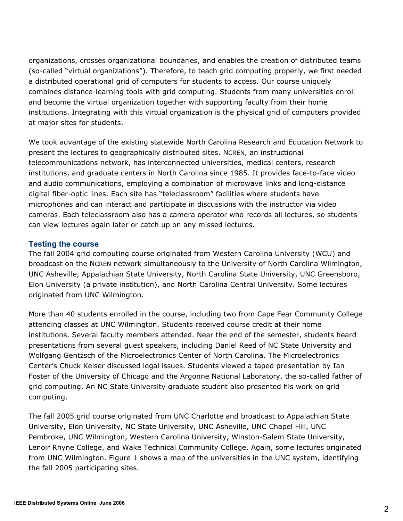organizations, crosses organizational boundaries, and enables the creation of distributed teams (so-called "virtual organizations"). Therefore, to teach grid computing properly, we first needed a distributed operational grid of computers for students to access. Our course uniquely combines distance-learning tools with grid computing. Students from many universities enroll and become the virtual organization together with supporting faculty from their home institutions. Integrating with this virtual organization is the physical grid of computers provided at major sites for students.

We took advantage of the existing statewide North Carolina Research and Education Network to present the lectures to geographically distributed sites. NCREN, an instructional telecommunications network, has interconnected universities, medical centers, research institutions, and graduate centers in North Carolina since 1985. It provides face-to-face video and audio communications, employing a combination of microwave links and long-distance digital fiber-optic lines. Each site has "teleclassroom" facilities where students have microphones and can interact and participate in discussions with the instructor via video cameras. Each teleclassroom also has a camera operator who records all lectures, so students can view lectures again later or catch up on any missed lectures.

### **Testing the course**

The fall 2004 grid computing course originated from Western Carolina University (WCU) and broadcast on the NCREN network simultaneously to the University of North Carolina Wilmington, UNC Asheville, Appalachian State University, North Carolina State University, UNC Greensboro, Elon University (a private institution), and North Carolina Central University. Some lectures originated from UNC Wilmington.

More than 40 students enrolled in the course, including two from Cape Fear Community College attending classes at UNC Wilmington. Students received course credit at their home institutions. Several faculty members attended. Near the end of the semester, students heard presentations from several guest speakers, including Daniel Reed of NC State University and Wolfgang Gentzsch of the Microelectronics Center of North Carolina. The Microelectronics Center's Chuck Kelser discussed legal issues. Students viewed a taped presentation by Ian Foster of the University of Chicago and the Argonne National Laboratory, the so-called father of grid computing. An NC State University graduate student also presented his work on grid computing.

The fall 2005 grid course originated from UNC Charlotte and broadcast to Appalachian State University, Elon University, NC State University, UNC Asheville, UNC Chapel Hill, UNC Pembroke, UNC Wilmington, Western Carolina University, Winston-Salem State University, Lenoir Rhyne College, and Wake Technical Community College. Again, some lectures originated from UNC Wilmington. Figure 1 shows a map of the universities in the UNC system, identifying the fall 2005 participating sites.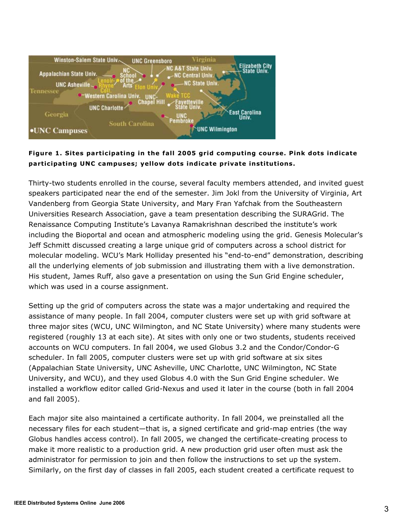

## **Figure 1. Sites participating in the fall 2005 grid computing course. Pink dots indicate participating UNC campuses; yellow dots indicate private institutions.**

Thirty-two students enrolled in the course, several faculty members attended, and invited guest speakers participated near the end of the semester. Jim Jokl from the University of Virginia, Art Vandenberg from Georgia State University, and Mary Fran Yafchak from the Southeastern Universities Research Association, gave a team presentation describing the SURAGrid. The Renaissance Computing Institute's Lavanya Ramakrishnan described the institute's work including the Bioportal and ocean and atmospheric modeling using the grid. Genesis Molecular's Jeff Schmitt discussed creating a large unique grid of computers across a school district for molecular modeling. WCU's Mark Holliday presented his "end-to-end" demonstration, describing all the underlying elements of job submission and illustrating them with a live demonstration. His student, James Ruff, also gave a presentation on using the Sun Grid Engine scheduler, which was used in a course assignment.

Setting up the grid of computers across the state was a major undertaking and required the assistance of many people. In fall 2004, computer clusters were set up with grid software at three major sites (WCU, UNC Wilmington, and NC State University) where many students were registered (roughly 13 at each site). At sites with only one or two students, students received accounts on WCU computers. In fall 2004, we used Globus 3.2 and the Condor/Condor-G scheduler. In fall 2005, computer clusters were set up with grid software at six sites (Appalachian State University, UNC Asheville, UNC Charlotte, UNC Wilmington, NC State University, and WCU), and they used Globus 4.0 with the Sun Grid Engine scheduler. We installed a workflow editor called Grid-Nexus and used it later in the course (both in fall 2004 and fall 2005).

Each major site also maintained a certificate authority. In fall 2004, we preinstalled all the necessary files for each student—that is, a signed certificate and grid-map entries (the way Globus handles access control). In fall 2005, we changed the certificate-creating process to make it more realistic to a production grid. A new production grid user often must ask the administrator for permission to join and then follow the instructions to set up the system. Similarly, on the first day of classes in fall 2005, each student created a certificate request to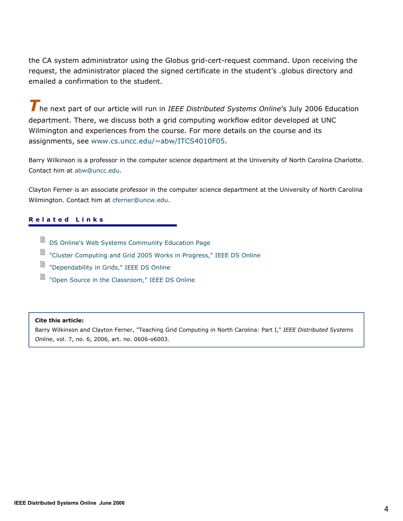the CA system administrator using the Globus grid-cert-request command. Upon receiving the request, the administrator placed the signed certificate in the student's .globus directory and emailed a confirmation to the student.

*T*he next part of our article will run in *IEEE Distributed Systems Online*'s July 2006 Education department. There, we discuss both a grid computing workflow editor developed at UNC Wilmington and experiences from the course. For more details on the course and its assignments, see www.cs.uncc.edu/~abw/ITCS4010F05.

Barry Wilkinson is a professor in the computer science department at the University of North Carolina Charlotte. Contact him at abw@uncc.edu.

Clayton Ferner is an associate professor in the computer science department at the University of North Carolina Wilmington. Contact him at cferner@uncw.edu.

### **Related Links**

- **DS** Online's Web Systems Community Education Page
- "Cluster Computing and Grid 2005 Works in Progress," IEEE DS Online
- "Dependability in Grids," IEEE DS Online
- "Open Source in the Classroom," IEEE DS Online

#### **Cite this article:**

Barry Wilkinson and Clayton Ferner, "Teaching Grid Computing in North Carolina: Part I," *IEEE Distributed Systems Online*, vol. 7, no. 6, 2006, art. no. 0606-o6003.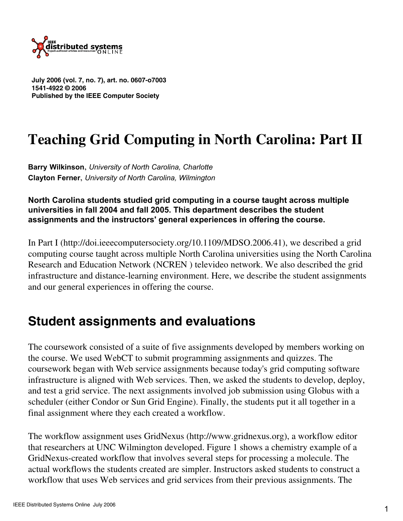

**1541-4922 © 2006 Published by the IEEE Computer Society July 2006 (vol. 7, no. 7), art. no. 0607-o7003** 

# **Teaching Grid Computing in North Carolina: Part II**

**Barry Wilkinson**, *University of North Carolina, Charlotte* **Clayton Ferner**, *University of North Carolina, Wilmington* 

## **North Carolina students studied grid computing in a course taught across multiple universities in fall 2004 and fall 2005. This department describes the student assignments and the instructors' general experiences in offering the course.**

In Part I (http://doi.ieeecomputersociety.org/10.1109/MDSO.2006.41), we described a grid computing course taught across multiple North Carolina universities using the North Carolina Research and Education Network (NCREN ) televideo network. We also described the grid infrastructure and distance-learning environment. Here, we describe the student assignments and our general experiences in offering the course.

## **Student assignments and evaluations**

The coursework consisted of a suite of five assignments developed by members working on the course. We used WebCT to submit programming assignments and quizzes. The coursework began with Web service assignments because today's grid computing software infrastructure is aligned with Web services. Then, we asked the students to develop, deploy, and test a grid service. The next assignments involved job submission using Globus with a scheduler (either Condor or Sun Grid Engine). Finally, the students put it all together in a final assignment where they each created a workflow.

The workflow assignment uses GridNexus (http://www.gridnexus.org), a workflow editor that researchers at UNC Wilmington developed. Figure 1 shows a chemistry example of a GridNexus-created workflow that involves several steps for processing a molecule. The actual workflows the students created are simpler. Instructors asked students to construct a workflow that uses Web services and grid services from their previous assignments. The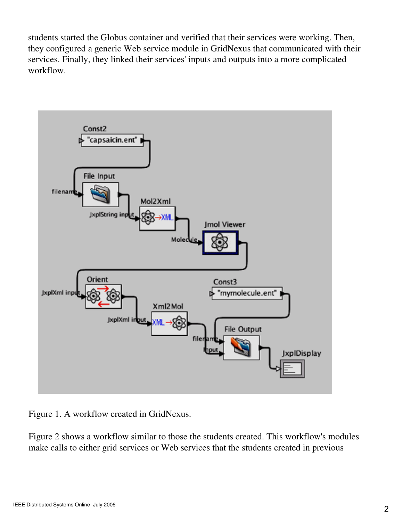students started the Globus container and verified that their services were working. Then, they configured a generic Web service module in GridNexus that communicated with their services. Finally, they linked their services' inputs and outputs into a more complicated workflow.



Figure 1. A workflow created in GridNexus.

Figure 2 shows a workflow similar to those the students created. This workflow's modules make calls to either grid services or Web services that the students created in previous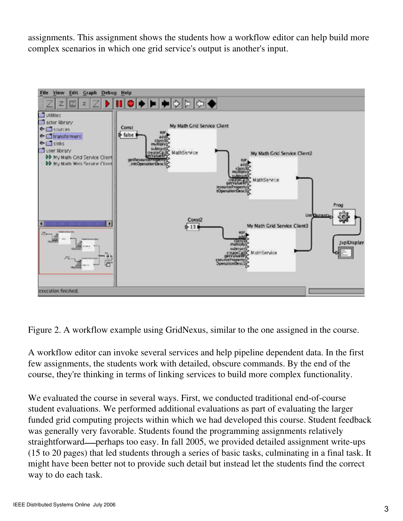assignments. This assignment shows the students how a workflow editor can help build more complex scenarios in which one grid service's output is another's input.



Figure 2. A workflow example using GridNexus, similar to the one assigned in the course.

A workflow editor can invoke several services and help pipeline dependent data. In the first few assignments, the students work with detailed, obscure commands. By the end of the course, they're thinking in terms of linking services to build more complex functionality.

We evaluated the course in several ways. First, we conducted traditional end-of-course student evaluations. We performed additional evaluations as part of evaluating the larger funded grid computing projects within which we had developed this course. Student feedback was generally very favorable. Students found the programming assignments relatively straightforward—perhaps too easy. In fall 2005, we provided detailed assignment write-ups (15 to 20 pages) that led students through a series of basic tasks, culminating in a final task. It might have been better not to provide such detail but instead let the students find the correct way to do each task.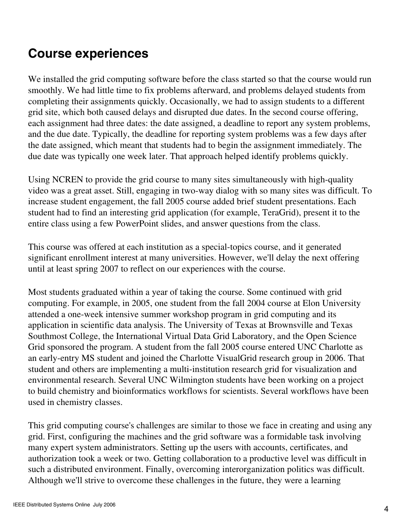# **Course experiences**

We installed the grid computing software before the class started so that the course would run smoothly. We had little time to fix problems afterward, and problems delayed students from completing their assignments quickly. Occasionally, we had to assign students to a different grid site, which both caused delays and disrupted due dates. In the second course offering, each assignment had three dates: the date assigned, a deadline to report any system problems, and the due date. Typically, the deadline for reporting system problems was a few days after the date assigned, which meant that students had to begin the assignment immediately. The due date was typically one week later. That approach helped identify problems quickly.

Using NCREN to provide the grid course to many sites simultaneously with high-quality video was a great asset. Still, engaging in two-way dialog with so many sites was difficult. To increase student engagement, the fall 2005 course added brief student presentations. Each student had to find an interesting grid application (for example, TeraGrid), present it to the entire class using a few PowerPoint slides, and answer questions from the class.

This course was offered at each institution as a special-topics course, and it generated significant enrollment interest at many universities. However, we'll delay the next offering until at least spring 2007 to reflect on our experiences with the course.

Most students graduated within a year of taking the course. Some continued with grid computing. For example, in 2005, one student from the fall 2004 course at Elon University attended a one-week intensive summer workshop program in grid computing and its application in scientific data analysis. The University of Texas at Brownsville and Texas Southmost College, the International Virtual Data Grid Laboratory, and the Open Science Grid sponsored the program. A student from the fall 2005 course entered UNC Charlotte as an early-entry MS student and joined the Charlotte VisualGrid research group in 2006. That student and others are implementing a multi-institution research grid for visualization and environmental research. Several UNC Wilmington students have been working on a project to build chemistry and bioinformatics workflows for scientists. Several workflows have been used in chemistry classes.

This grid computing course's challenges are similar to those we face in creating and using any grid. First, configuring the machines and the grid software was a formidable task involving many expert system administrators. Setting up the users with accounts, certificates, and authorization took a week or two. Getting collaboration to a productive level was difficult in such a distributed environment. Finally, overcoming interorganization politics was difficult. Although we'll strive to overcome these challenges in the future, they were a learning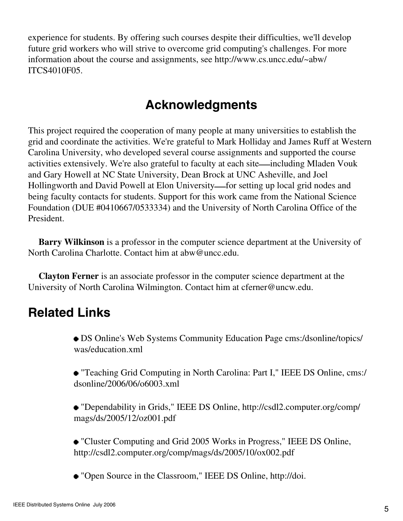experience for students. By offering such courses despite their difficulties, we'll develop future grid workers who will strive to overcome grid computing's challenges. For more information about the course and assignments, see http://www.cs.uncc.edu/~abw/ ITCS4010F05.

## **Acknowledgments**

This project required the cooperation of many people at many universities to establish the grid and coordinate the activities. We're grateful to Mark Holliday and James Ruff at Western Carolina University, who developed several course assignments and supported the course activities extensively. We're also grateful to faculty at each site—including Mladen Vouk and Gary Howell at NC State University, Dean Brock at UNC Asheville, and Joel Hollingworth and David Powell at Elon University—for setting up local grid nodes and being faculty contacts for students. Support for this work came from the National Science Foundation (DUE #0410667/0533334) and the University of North Carolina Office of the President.

**Barry Wilkinson** is a professor in the computer science department at the University of North Carolina Charlotte. Contact him at abw@uncc.edu.

**Clayton Ferner** is an associate professor in the computer science department at the University of North Carolina Wilmington. Contact him at cferner@uncw.edu.

## **Related Links**

 DS Online's Web Systems Community Education Page cms:/dsonline/topics/ was/education.xml

 "Teaching Grid Computing in North Carolina: Part I," IEEE DS Online, cms:/ dsonline/2006/06/o6003.xml

 "Dependability in Grids," IEEE DS Online, http://csdl2.computer.org/comp/ mags/ds/2005/12/oz001.pdf

 "Cluster Computing and Grid 2005 Works in Progress," IEEE DS Online, http://csdl2.computer.org/comp/mags/ds/2005/10/ox002.pdf

"Open Source in the Classroom," IEEE DS Online, http://doi.